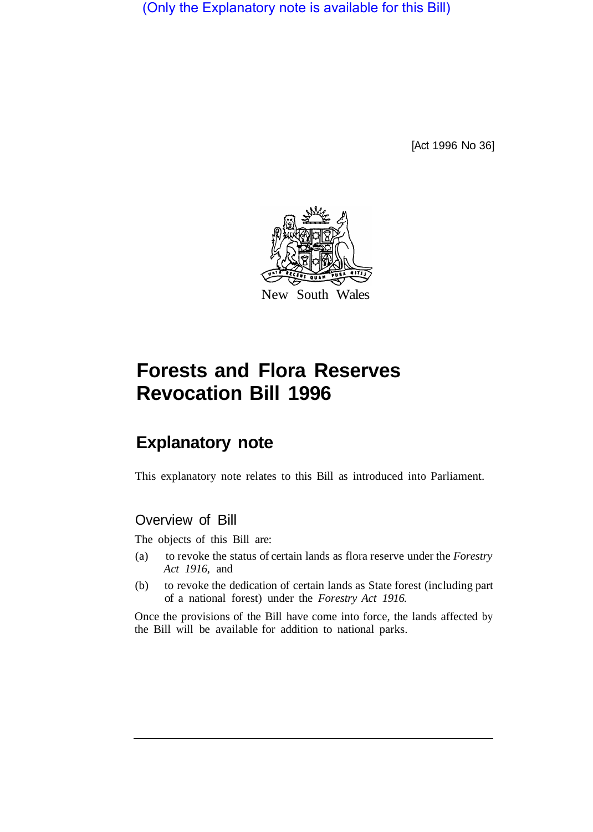(Only the Explanatory note is available for this Bill)

[Act 1996 No 36]



# **Forests and Flora Reserves Revocation Bill 1996**

## **Explanatory note**

This explanatory note relates to this Bill as introduced into Parliament.

### Overview of Bill

The objects of this Bill are:

- (a) to revoke the status of certain lands as flora reserve under the *Forestry Act 1916,* and
- (b) to revoke the dedication of certain lands as State forest (including part of a national forest) under the *Forestry Act 1916.*

Once the provisions of the Bill have come into force, the lands affected by the Bill will be available for addition to national parks.